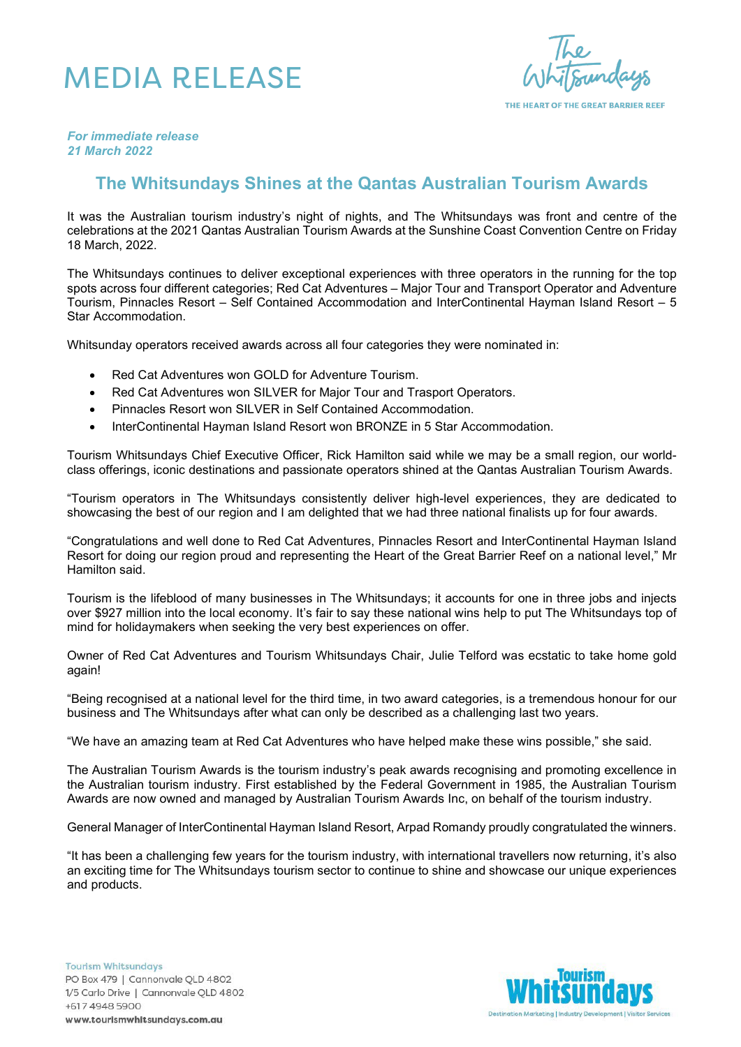## MEDIA RELEASE

THE HEART OF THE GREAT BARRIER REEF

*For immediate release 21 March 2022*

## **The Whitsundays Shines at the Qantas Australian Tourism Awards**

It was the Australian tourism industry's night of nights, and The Whitsundays was front and centre of the celebrations at the 2021 Qantas Australian Tourism Awards at the Sunshine Coast Convention Centre on Friday 18 March, 2022.

The Whitsundays continues to deliver exceptional experiences with three operators in the running for the top spots across four different categories; Red Cat Adventures – Major Tour and Transport Operator and Adventure Tourism, Pinnacles Resort – Self Contained Accommodation and InterContinental Hayman Island Resort – 5 Star Accommodation.

Whitsunday operators received awards across all four categories they were nominated in:

- Red Cat Adventures won GOLD for Adventure Tourism.
- Red Cat Adventures won SILVER for Major Tour and Trasport Operators.
- Pinnacles Resort won SILVER in Self Contained Accommodation.
- InterContinental Hayman Island Resort won BRONZE in 5 Star Accommodation.

Tourism Whitsundays Chief Executive Officer, Rick Hamilton said while we may be a small region, our worldclass offerings, iconic destinations and passionate operators shined at the Qantas Australian Tourism Awards.

"Tourism operators in The Whitsundays consistently deliver high-level experiences, they are dedicated to showcasing the best of our region and I am delighted that we had three national finalists up for four awards.

"Congratulations and well done to Red Cat Adventures, Pinnacles Resort and InterContinental Hayman Island Resort for doing our region proud and representing the Heart of the Great Barrier Reef on a national level," Mr Hamilton said.

Tourism is the lifeblood of many businesses in The Whitsundays; it accounts for one in three jobs and injects over \$927 million into the local economy. It's fair to say these national wins help to put The Whitsundays top of mind for holidaymakers when seeking the very best experiences on offer.

Owner of Red Cat Adventures and Tourism Whitsundays Chair, Julie Telford was ecstatic to take home gold again!

"Being recognised at a national level for the third time, in two award categories, is a tremendous honour for our business and The Whitsundays after what can only be described as a challenging last two years.

"We have an amazing team at Red Cat Adventures who have helped make these wins possible," she said.

The Australian Tourism Awards is the tourism industry's peak awards recognising and promoting excellence in the Australian tourism industry. First established by the Federal Government in 1985, the Australian Tourism Awards are now owned and managed by Australian Tourism Awards Inc, on behalf of the tourism industry.

General Manager of InterContinental Hayman Island Resort, Arpad Romandy proudly congratulated the winners.

"It has been a challenging few years for the tourism industry, with international travellers now returning, it's also an exciting time for The Whitsundays tourism sector to continue to shine and showcase our unique experiences and products.

**Tourism Whitsundays** PO Box 479 | Cannonvale QLD 4802 1/5 Carlo Drive | Cannonvale QLD 4802 +617 4948 5900 www.tourismwhitsundays.com.au